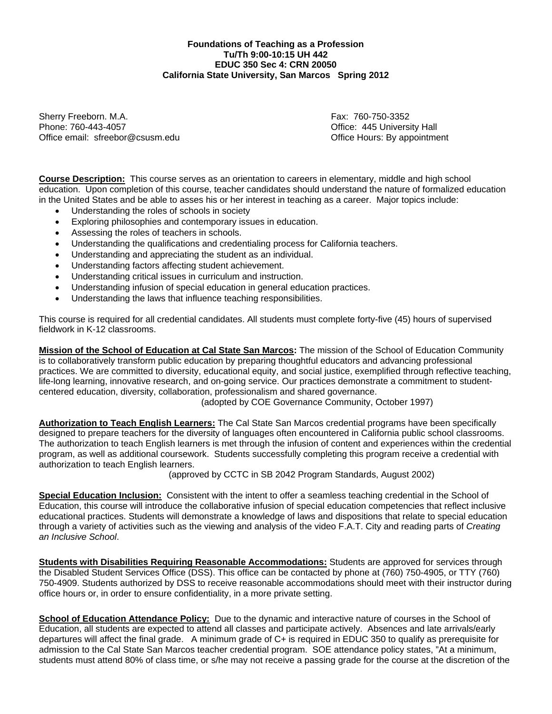## **Foundations of Teaching as a Profession Tu/Th 9:00-10:15 UH 442 EDUC 350 Sec 4: CRN 20050 California State University, San Marcos Spring 2012**

Sherry Freeborn. M.A. **Fax: 760-750-3352** Phone: 760-443-4057 Office: 445 University Hall Office email: sfreebor@csusm.edu **Community** Community Community Community Community Community Community Community

**Course Description:** This course serves as an orientation to careers in elementary, middle and high school education. Upon completion of this course, teacher candidates should understand the nature of formalized education in the United States and be able to asses his or her interest in teaching as a career. Major topics include:

- Understanding the roles of schools in society
- Exploring philosophies and contemporary issues in education.
- Assessing the roles of teachers in schools.
- Understanding the qualifications and credentialing process for California teachers.
- Understanding and appreciating the student as an individual.
- Understanding factors affecting student achievement.
- Understanding critical issues in curriculum and instruction.
- Understanding infusion of special education in general education practices.
- Understanding the laws that influence teaching responsibilities.

This course is required for all credential candidates. All students must complete forty-five (45) hours of supervised fieldwork in K-12 classrooms.

**Mission of the School of Education at Cal State San Marcos:** The mission of the School of Education Community is to collaboratively transform public education by preparing thoughtful educators and advancing professional practices. We are committed to diversity, educational equity, and social justice, exemplified through reflective teaching, life-long learning, innovative research, and on-going service. Our practices demonstrate a commitment to studentcentered education, diversity, collaboration, professionalism and shared governance.

(adopted by COE Governance Community, October 1997)

**Authorization to Teach English Learners:** The Cal State San Marcos credential programs have been specifically designed to prepare teachers for the diversity of languages often encountered in California public school classrooms. The authorization to teach English learners is met through the infusion of content and experiences within the credential program, as well as additional coursework. Students successfully completing this program receive a credential with authorization to teach English learners.

(approved by CCTC in SB 2042 Program Standards, August 2002)

 **Special Education Inclusion:** Consistent with the intent to offer a seamless teaching credential in the School of Education, this course will introduce the collaborative infusion of special education competencies that reflect inclusive educational practices. Students will demonstrate a knowledge of laws and dispositions that relate to special education through a variety of activities such as the viewing and analysis of the video F.A.T. City and reading parts of *Creating an Inclusive School*.

**Students with Disabilities Requiring Reasonable Accommodations:** Students are approved for services through the Disabled Student Services Office (DSS). This office can be contacted by phone at (760) 750-4905, or TTY (760) 750-4909. Students authorized by DSS to receive reasonable accommodations should meet with their instructor during office hours or, in order to ensure confidentiality, in a more private setting.

**School of Education Attendance Policy:** Due to the dynamic and interactive nature of courses in the School of Education, all students are expected to attend all classes and participate actively. Absences and late arrivals/early departures will affect the final grade. A minimum grade of C+ is required in EDUC 350 to qualify as prerequisite for admission to the Cal State San Marcos teacher credential program. SOE attendance policy states, "At a minimum, students must attend 80% of class time, or s/he may not receive a passing grade for the course at the discretion of the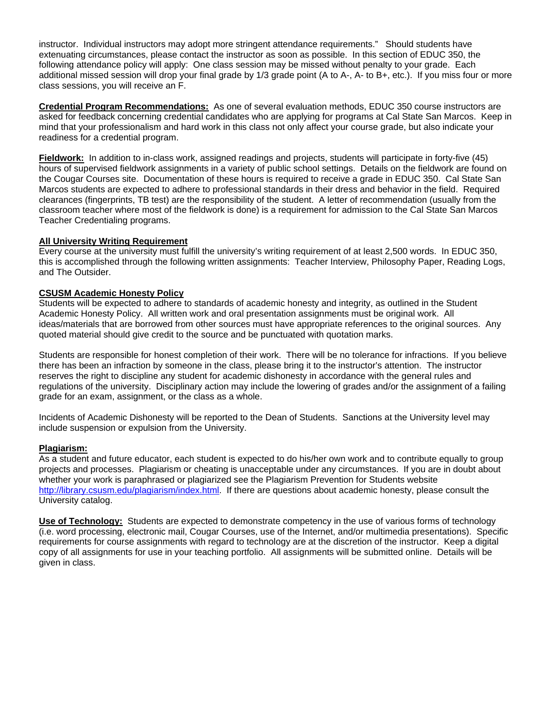instructor. Individual instructors may adopt more stringent attendance requirements." Should students have extenuating circumstances, please contact the instructor as soon as possible. In this section of EDUC 350, the following attendance policy will apply: One class session may be missed without penalty to your grade. Each additional missed session will drop your final grade by 1/3 grade point (A to A-, A- to B+, etc.). If you miss four or more class sessions, you will receive an F.

**Credential Program Recommendations:** As one of several evaluation methods, EDUC 350 course instructors are asked for feedback concerning credential candidates who are applying for programs at Cal State San Marcos. Keep in mind that your professionalism and hard work in this class not only affect your course grade, but also indicate your readiness for a credential program.

**Fieldwork:** In addition to in-class work, assigned readings and projects, students will participate in forty-five (45) hours of supervised fieldwork assignments in a variety of public school settings. Details on the fieldwork are found on the Cougar Courses site. Documentation of these hours is required to receive a grade in EDUC 350. Cal State San Marcos students are expected to adhere to professional standards in their dress and behavior in the field. Required clearances (fingerprints, TB test) are the responsibility of the student. A letter of recommendation (usually from the classroom teacher where most of the fieldwork is done) is a requirement for admission to the Cal State San Marcos Teacher Credentialing programs.

## **All University Writing Requirement**

Every course at the university must fulfill the university's writing requirement of at least 2,500 words. In EDUC 350, this is accomplished through the following written assignments: Teacher Interview, Philosophy Paper, Reading Logs, and The Outsider.

## **CSUSM Academic Honesty Policy**

Students will be expected to adhere to standards of academic honesty and integrity, as outlined in the Student Academic Honesty Policy. All written work and oral presentation assignments must be original work. All ideas/materials that are borrowed from other sources must have appropriate references to the original sources. Any quoted material should give credit to the source and be punctuated with quotation marks.

Students are responsible for honest completion of their work. There will be no tolerance for infractions. If you believe there has been an infraction by someone in the class, please bring it to the instructor's attention. The instructor reserves the right to discipline any student for academic dishonesty in accordance with the general rules and regulations of the university. Disciplinary action may include the lowering of grades and/or the assignment of a failing grade for an exam, assignment, or the class as a whole.

Incidents of Academic Dishonesty will be reported to the Dean of Students. Sanctions at the University level may include suspension or expulsion from the University.

## **Plagiarism:**

As a student and future educator, each student is expected to do his/her own work and to contribute equally to group projects and processes. Plagiarism or cheating is unacceptable under any circumstances. If you are in doubt about whether your work is paraphrased or plagiarized see the Plagiarism Prevention for Students website http://library.csusm.edu/plagiarism/index.html. If there are questions about academic honesty, please consult the University catalog.

 **Use of Technology:** Students are expected to demonstrate competency in the use of various forms of technology (i.e. word processing, electronic mail, Cougar Courses, use of the Internet, and/or multimedia presentations). Specific requirements for course assignments with regard to technology are at the discretion of the instructor. Keep a digital copy of all assignments for use in your teaching portfolio. All assignments will be submitted online. Details will be given in class.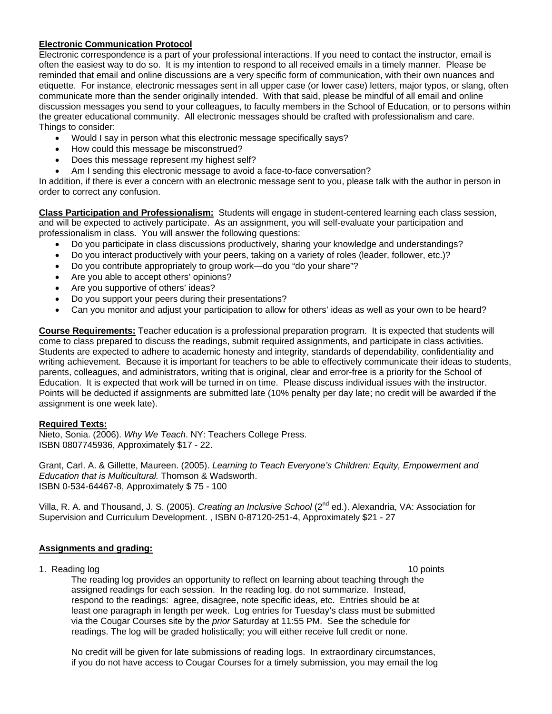## **Electronic Communication Protocol**

Electronic correspondence is a part of your professional interactions. If you need to contact the instructor, email is often the easiest way to do so. It is my intention to respond to all received emails in a timely manner. Please be reminded that email and online discussions are a very specific form of communication, with their own nuances and etiquette. For instance, electronic messages sent in all upper case (or lower case) letters, major typos, or slang, often communicate more than the sender originally intended. With that said, please be mindful of all email and online discussion messages you send to your colleagues, to faculty members in the School of Education, or to persons within the greater educational community. All electronic messages should be crafted with professionalism and care. Things to consider:

- Would I say in person what this electronic message specifically says?
- How could this message be misconstrued?
- Does this message represent my highest self?
- Am I sending this electronic message to avoid a face-to-face conversation?

In addition, if there is ever a concern with an electronic message sent to you, please talk with the author in person in order to correct any confusion.

**Class Participation and Professionalism:** Students will engage in student-centered learning each class session, and will be expected to actively participate. As an assignment, you will self-evaluate your participation and professionalism in class. You will answer the following questions:

- Do you participate in class discussions productively, sharing your knowledge and understandings?
- Do you interact productively with your peers, taking on a variety of roles (leader, follower, etc.)?
- Do you contribute appropriately to group work—do you "do your share"?
- Are you able to accept others' opinions?
- Are you supportive of others' ideas?
- Do you support your peers during their presentations?
- Can you monitor and adjust your participation to allow for others' ideas as well as your own to be heard?

**Course Requirements:** Teacher education is a professional preparation program. It is expected that students will come to class prepared to discuss the readings, submit required assignments, and participate in class activities. Students are expected to adhere to academic honesty and integrity, standards of dependability, confidentiality and writing achievement. Because it is important for teachers to be able to effectively communicate their ideas to students, parents, colleagues, and administrators, writing that is original, clear and error-free is a priority for the School of Education. It is expected that work will be turned in on time. Please discuss individual issues with the instructor. Points will be deducted if assignments are submitted late (10% penalty per day late; no credit will be awarded if the assignment is one week late).

#### **Required Texts:**

Nieto, Sonia. (2006). *Why We Teach*. NY: Teachers College Press. ISBN 0807745936, Approximately \$17 - 22.

Grant, Carl. A. & Gillette, Maureen. (2005). *Learning to Teach Everyone's Children: Equity, Empowerment and Education that is Multicultural.* Thomson & Wadsworth. ISBN 0-534-64467-8, Approximately \$ 75 - 100

Villa, R. A. and Thousand, J. S. (2005). *Creating an Inclusive School* (2nd ed.). Alexandria, VA: Association for Supervision and Curriculum Development. , ISBN 0-87120-251-4, Approximately \$21 - 27

## **Assignments and grading:**

1. Reading log 10 points and 10 points are not been applied to the control of the control of the control of the control of the control of the control of the control of the control of the control of the control of the contr

The reading log provides an opportunity to reflect on learning about teaching through the assigned readings for each session. In the reading log, do not summarize. Instead, respond to the readings: agree, disagree, note specific ideas, etc. Entries should be at least one paragraph in length per week. Log entries for Tuesday's class must be submitted via the Cougar Courses site by the *prior* Saturday at 11:55 PM. See the schedule for readings. The log will be graded holistically; you will either receive full credit or none.

No credit will be given for late submissions of reading logs. In extraordinary circumstances, if you do not have access to Cougar Courses for a timely submission, you may email the log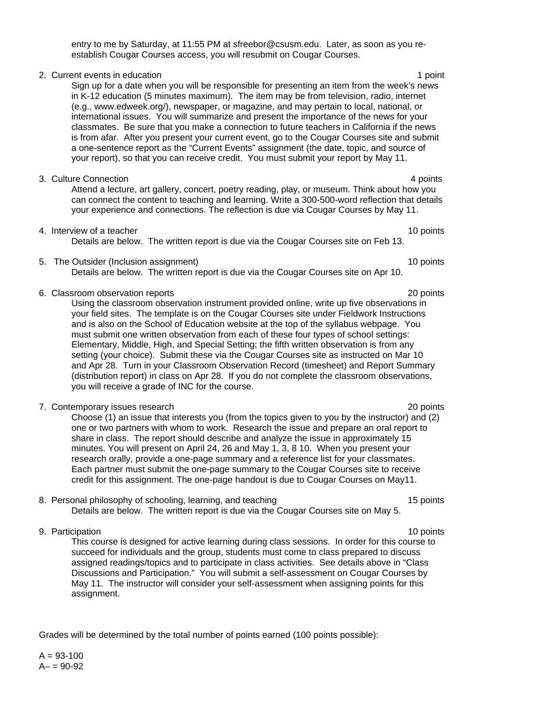entry to me by Saturday, at 11:55 PM at sfreebor@csusm.edu. Later, as soon as you reestablish Cougar Courses access, you will resubmit on Cougar Courses.

2. Current events in education 1 point 1 point 1 point 1 point Sign up for a date when you will be responsible for presenting an item from the week's news in K-12 education (5 minutes maximum). The item may be from television, radio, internet (e.g., www.edweek.org/), newspaper, or magazine, and may pertain to local, national, or international issues. You will summarize and present the importance of the news for your classmates. Be sure that you make a connection to future teachers in California if the news is from afar. After you present your current event, go to the Cougar Courses site and submit a one-sentence report as the "Current Events" assignment (the date, topic, and source of your report), so that you can receive credit. You must submit your report by May 11.

- 3. Culture Connection **4 and 2 and 2 and 2 and 3 and 3 and 4 and 4 and 4 and 4 and 4 and 4 and 4 and 4 and 4 and 4 and 4 and 4 and 4 and 4 and 4 and 4 and 4 and 4 and 4 and** Attend a lecture, art gallery, concert, poetry reading, play, or museum. Think about how you can connect the content to teaching and learning. Write a 300-500-word reflection that details your experience and connections. The reflection is due via Cougar Courses by May 11.
- 4. Interview of a teacher 10 points and the set of a teacher 10 points of a teacher 10 points of a teacher 10 points of a teacher 10 points of a teacher 10 points of a teacher 10 points of a teacher 10 points of a teacher Details are below. The written report is due via the Cougar Courses site on Feb 13.
- 5. The Outsider (Inclusion assignment) 10 points 10 points

Details are below. The written report is due via the Cougar Courses site on Apr 10.

6. Classroom observation reports 20 points

Using the classroom observation instrument provided online, write up five observations in your field sites. The template is on the Cougar Courses site under Fieldwork Instructions and is also on the School of Education website at the top of the syllabus webpage. You must submit one written observation from each of these four types of school settings: Elementary, Middle, High, and Special Setting; the fifth written observation is from any setting (your choice). Submit these via the Cougar Courses site as instructed on Mar 10 and Apr 28. Turn in your Classroom Observation Record (timesheet) and Report Summary (distribution report) in class on Apr 28. If you do not complete the classroom observations, you will receive a grade of INC for the course.

7. Contemporary issues research 20 points

Choose (1) an issue that interests you (from the topics given to you by the instructor) and (2) one or two partners with whom to work. Research the issue and prepare an oral report to share in class. The report should describe and analyze the issue in approximately 15 minutes. You will present on April 24, 26 and May 1, 3, 8 10. When you present your research orally, provide a one-page summary and a reference list for your classmates. Each partner must submit the one-page summary to the Cougar Courses site to receive credit for this assignment. The one-page handout is due to Cougar Courses on May11.

8. Personal philosophy of schooling, learning, and teaching 15 points 15 points Details are below. The written report is due via the Cougar Courses site on May 5.

9. Participation 10 points and the set of the set of the set of the set of the set of the set of the set of the set of the set of the set of the set of the set of the set of the set of the set of the set of the set of the This course is designed for active learning during class sessions. In order for this course to succeed for individuals and the group, students must come to class prepared to discuss assigned readings/topics and to participate in class activities. See details above in "Class Discussions and Participation." You will submit a self-assessment on Cougar Courses by May 11. The instructor will consider your self-assessment when assigning points for this assignment.

Grades will be determined by the total number of points earned (100 points possible):

 $A = 93 - 100$  $A - 90 - 92$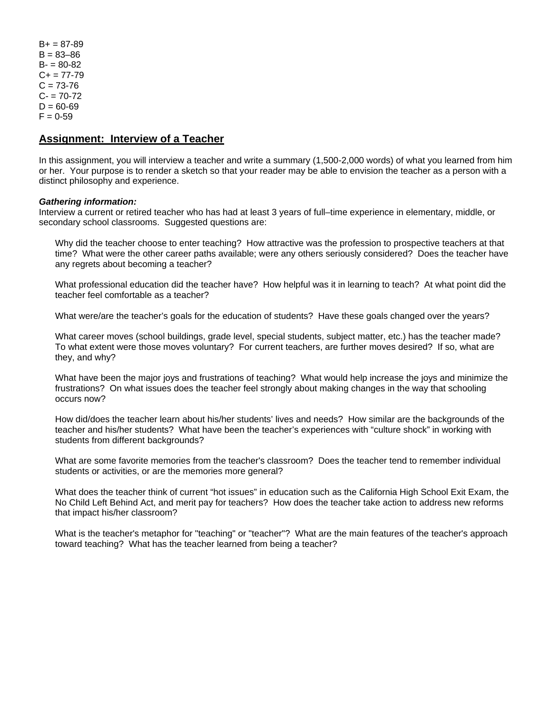$B+ = 87-89$  $B = 83 - 86$  $B = 80 - 82$  $C+= 77-79$  $C = 73 - 76$  $C - 70-72$  $D = 60 - 69$  $F = 0.59$ 

# **Assignment: Interview of a Teacher**

In this assignment, you will interview a teacher and write a summary (1,500-2,000 words) of what you learned from him or her. Your purpose is to render a sketch so that your reader may be able to envision the teacher as a person with a distinct philosophy and experience.

#### *Gathering information:*

Interview a current or retired teacher who has had at least 3 years of full–time experience in elementary, middle, or secondary school classrooms. Suggested questions are:

Why did the teacher choose to enter teaching? How attractive was the profession to prospective teachers at that time? What were the other career paths available; were any others seriously considered? Does the teacher have any regrets about becoming a teacher?

What professional education did the teacher have? How helpful was it in learning to teach? At what point did the teacher feel comfortable as a teacher?

What were/are the teacher's goals for the education of students? Have these goals changed over the years?

What career moves (school buildings, grade level, special students, subject matter, etc.) has the teacher made? To what extent were those moves voluntary? For current teachers, are further moves desired? If so, what are they, and why?

What have been the major joys and frustrations of teaching? What would help increase the joys and minimize the frustrations? On what issues does the teacher feel strongly about making changes in the way that schooling occurs now?

How did/does the teacher learn about his/her students' lives and needs? How similar are the backgrounds of the teacher and his/her students? What have been the teacher's experiences with "culture shock" in working with students from different backgrounds?

What are some favorite memories from the teacher's classroom? Does the teacher tend to remember individual students or activities, or are the memories more general?

What does the teacher think of current "hot issues" in education such as the California High School Exit Exam, the No Child Left Behind Act, and merit pay for teachers? How does the teacher take action to address new reforms that impact his/her classroom?

What is the teacher's metaphor for "teaching" or "teacher"? What are the main features of the teacher's approach toward teaching? What has the teacher learned from being a teacher?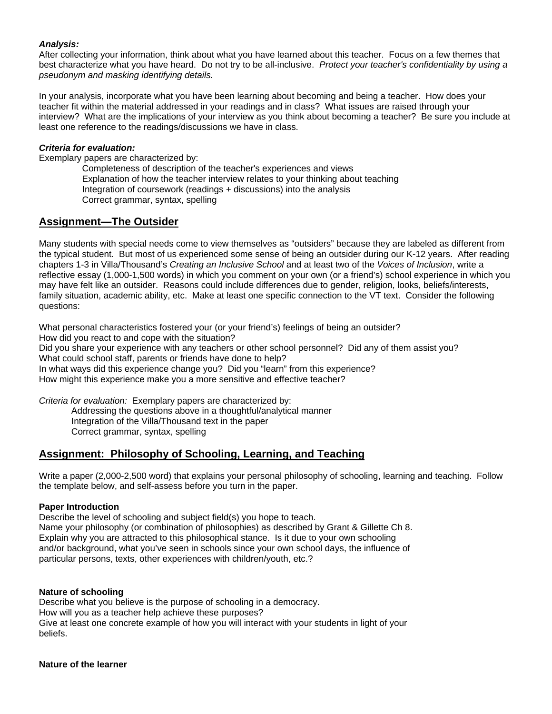## *Analysis:*

After collecting your information, think about what you have learned about this teacher. Focus on a few themes that best characterize what you have heard. Do not try to be all-inclusive. *Protect your teacher's confidentiality by using a pseudonym and masking identifying details.* 

In your analysis, incorporate what you have been learning about becoming and being a teacher. How does your teacher fit within the material addressed in your readings and in class? What issues are raised through your interview? What are the implications of your interview as you think about becoming a teacher? Be sure you include at least one reference to the readings/discussions we have in class.

## *Criteria for evaluation:*

Exemplary papers are characterized by:

Completeness of description of the teacher's experiences and views Explanation of how the teacher interview relates to your thinking about teaching Integration of coursework (readings + discussions) into the analysis Correct grammar, syntax, spelling

# **Assignment—The Outsider**

Many students with special needs come to view themselves as "outsiders" because they are labeled as different from the typical student. But most of us experienced some sense of being an outsider during our K-12 years. After reading chapters 1-3 in Villa/Thousand's *Creating an Inclusive School* and at least two of the *Voices of Inclusion*, write a reflective essay (1,000-1,500 words) in which you comment on your own (or a friend's) school experience in which you may have felt like an outsider. Reasons could include differences due to gender, religion, looks, beliefs/interests, family situation, academic ability, etc. Make at least one specific connection to the VT text. Consider the following questions:

What personal characteristics fostered your (or your friend's) feelings of being an outsider? How did you react to and cope with the situation?

Did you share your experience with any teachers or other school personnel? Did any of them assist you? What could school staff, parents or friends have done to help?

In what ways did this experience change you? Did you "learn" from this experience?

How might this experience make you a more sensitive and effective teacher?

*Criteria for evaluation:* Exemplary papers are characterized by:

Addressing the questions above in a thoughtful/analytical manner Integration of the Villa/Thousand text in the paper Correct grammar, syntax, spelling

# **Assignment: Philosophy of Schooling, Learning, and Teaching**

Write a paper (2,000-2,500 word) that explains your personal philosophy of schooling, learning and teaching. Follow the template below, and self-assess before you turn in the paper.

#### **Paper Introduction**

Describe the level of schooling and subject field(s) you hope to teach. Name your philosophy (or combination of philosophies) as described by Grant & Gillette Ch 8. Explain why you are attracted to this philosophical stance. Is it due to your own schooling and/or background, what you've seen in schools since your own school days, the influence of particular persons, texts, other experiences with children/youth, etc.?

#### **Nature of schooling**

Describe what you believe is the purpose of schooling in a democracy. How will you as a teacher help achieve these purposes? Give at least one concrete example of how you will interact with your students in light of your beliefs.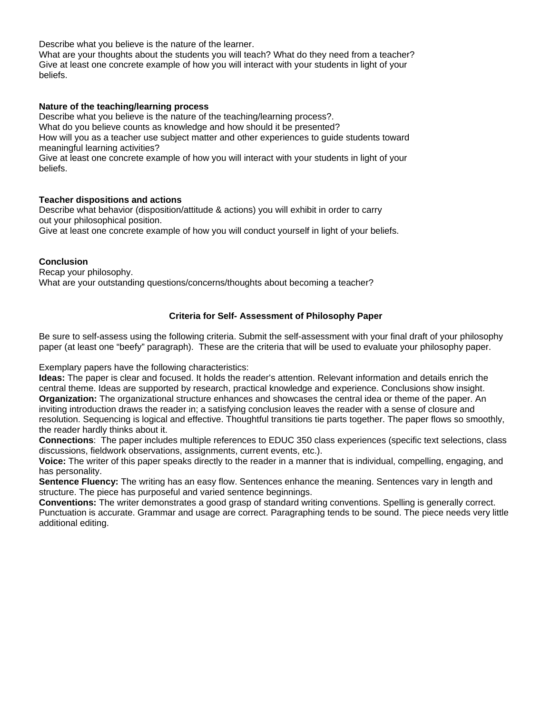Describe what you believe is the nature of the learner.

What are your thoughts about the students you will teach? What do they need from a teacher? Give at least one concrete example of how you will interact with your students in light of your beliefs.

#### **Nature of the teaching/learning process**

Describe what you believe is the nature of the teaching/learning process?.

What do you believe counts as knowledge and how should it be presented?

How will you as a teacher use subject matter and other experiences to guide students toward meaningful learning activities?

Give at least one concrete example of how you will interact with your students in light of your beliefs.

## **Teacher dispositions and actions**

Describe what behavior (disposition/attitude & actions) you will exhibit in order to carry out your philosophical position. Give at least one concrete example of how you will conduct yourself in light of your beliefs.

## **Conclusion**

Recap your philosophy. What are your outstanding questions/concerns/thoughts about becoming a teacher?

## **Criteria for Self- Assessment of Philosophy Paper**

Be sure to self-assess using the following criteria. Submit the self-assessment with your final draft of your philosophy paper (at least one "beefy" paragraph). These are the criteria that will be used to evaluate your philosophy paper.

Exemplary papers have the following characteristics:

**Ideas:** The paper is clear and focused. It holds the reader's attention. Relevant information and details enrich the central theme. Ideas are supported by research, practical knowledge and experience. Conclusions show insight. **Organization:** The organizational structure enhances and showcases the central idea or theme of the paper. An inviting introduction draws the reader in; a satisfying conclusion leaves the reader with a sense of closure and resolution. Sequencing is logical and effective. Thoughtful transitions tie parts together. The paper flows so smoothly, the reader hardly thinks about it.

**Connections**: The paper includes multiple references to EDUC 350 class experiences (specific text selections, class discussions, fieldwork observations, assignments, current events, etc.).

**Voice:** The writer of this paper speaks directly to the reader in a manner that is individual, compelling, engaging, and has personality.

**Sentence Fluency:** The writing has an easy flow. Sentences enhance the meaning. Sentences vary in length and structure. The piece has purposeful and varied sentence beginnings.

**Conventions:** The writer demonstrates a good grasp of standard writing conventions. Spelling is generally correct. Punctuation is accurate. Grammar and usage are correct. Paragraphing tends to be sound. The piece needs very little additional editing.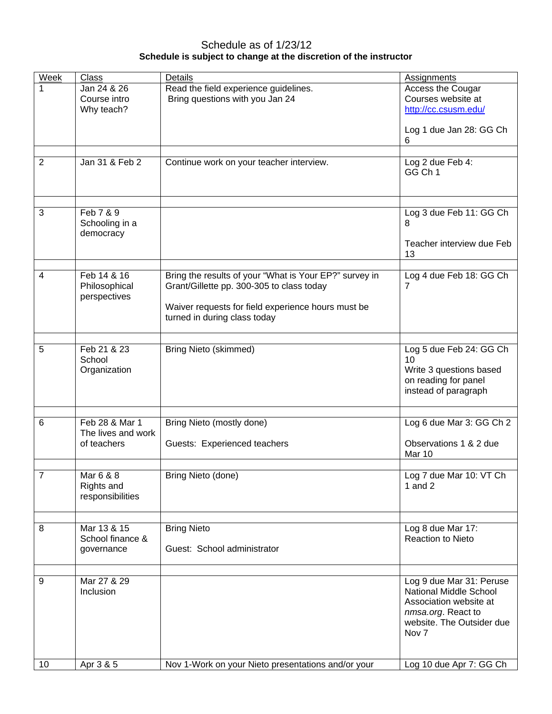# Schedule as of 1/23/12 **Schedule is subject to change at the discretion of the instructor**

| <b>Week</b>    | Class              | Details                                                | Assignments               |
|----------------|--------------------|--------------------------------------------------------|---------------------------|
| 1              | Jan 24 & 26        | Read the field experience guidelines.                  | Access the Cougar         |
|                | Course intro       | Bring questions with you Jan 24                        | Courses website at        |
|                |                    |                                                        |                           |
|                | Why teach?         |                                                        | http://cc.csusm.edu/      |
|                |                    |                                                        |                           |
|                |                    |                                                        | Log 1 due Jan 28: GG Ch   |
|                |                    |                                                        | 6                         |
|                |                    |                                                        |                           |
| $\overline{2}$ | Jan 31 & Feb 2     | Continue work on your teacher interview.               | Log 2 due Feb 4:          |
|                |                    |                                                        | GG Ch 1                   |
|                |                    |                                                        |                           |
|                |                    |                                                        |                           |
|                |                    |                                                        |                           |
| 3              | Feb 7 & 9          |                                                        | Log 3 due Feb 11: GG Ch   |
|                | Schooling in a     |                                                        | 8                         |
|                | democracy          |                                                        |                           |
|                |                    |                                                        | Teacher interview due Feb |
|                |                    |                                                        |                           |
|                |                    |                                                        | 13                        |
|                |                    |                                                        |                           |
| 4              | Feb 14 & 16        | Bring the results of your "What is Your EP?" survey in | Log 4 due Feb 18: GG Ch   |
|                | Philosophical      | Grant/Gillette pp. 300-305 to class today              | 7                         |
|                | perspectives       |                                                        |                           |
|                |                    | Waiver requests for field experience hours must be     |                           |
|                |                    | turned in during class today                           |                           |
|                |                    |                                                        |                           |
|                |                    |                                                        |                           |
| 5              | Feb 21 & 23        | <b>Bring Nieto (skimmed)</b>                           | Log 5 due Feb 24: GG Ch   |
|                | School             |                                                        | 10                        |
|                | Organization       |                                                        | Write 3 questions based   |
|                |                    |                                                        | on reading for panel      |
|                |                    |                                                        | instead of paragraph      |
|                |                    |                                                        |                           |
|                |                    |                                                        |                           |
|                |                    |                                                        |                           |
| 6              | Feb 28 & Mar 1     | Bring Nieto (mostly done)                              | Log 6 due Mar 3: GG Ch 2  |
|                | The lives and work |                                                        |                           |
|                | of teachers        | Guests: Experienced teachers                           | Observations 1 & 2 due    |
|                |                    |                                                        | Mar 10                    |
|                |                    |                                                        |                           |
| $\overline{7}$ | Mar 6 & 8          | Bring Nieto (done)                                     | Log 7 due Mar 10: VT Ch   |
|                | Rights and         |                                                        | 1 and $2$                 |
|                | responsibilities   |                                                        |                           |
|                |                    |                                                        |                           |
|                |                    |                                                        |                           |
| 8              | Mar 13 & 15        | <b>Bring Nieto</b>                                     | Log 8 due Mar 17:         |
|                | School finance &   |                                                        | Reaction to Nieto         |
|                | governance         | Guest: School administrator                            |                           |
|                |                    |                                                        |                           |
|                |                    |                                                        |                           |
| 9              | Mar 27 & 29        |                                                        |                           |
|                |                    |                                                        | Log 9 due Mar 31: Peruse  |
|                | Inclusion          |                                                        | National Middle School    |
|                |                    |                                                        | Association website at    |
|                |                    |                                                        | nmsa.org. React to        |
|                |                    |                                                        | website. The Outsider due |
|                |                    |                                                        | Nov <sub>7</sub>          |
|                |                    |                                                        |                           |
|                |                    |                                                        |                           |
| 10             | Apr 3 & 5          | Nov 1-Work on your Nieto presentations and/or your     | Log 10 due Apr 7: GG Ch   |